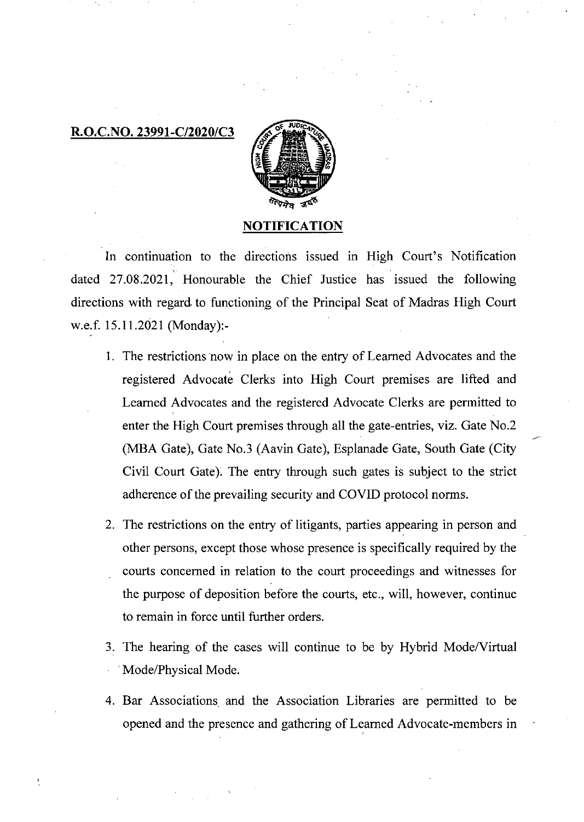## R.O.C.NO. 23991-C/2020/C3



## NOTIFICATION

In continuation to the directions issued in High Court's Notification dated 27.08.2021, Honourable the Chief Justice has issued the following directions with regard to functioning of the Principal Seat of Madras High Court w.e.f. 15.11.2021 (Monday):-

- 1. The restrictions now in place on the entry of Learned Advocates and the registered Advocate Clerks into High Court premises are lifted and Learned Advocates and the registered Advocate Clerks are permitted to enter the High Court premises through all the gate-entries, viz. Gate No.2 (MBA Gate), Gate No.3 (Aavin Gate), Esplanade Gate, South Gate (City Civil Court Gate). The entry through such gates is subject to the strict adherence of the prevailing security and COVID protocol norms.
- 2. The restrictions on the entry of litigants, parties appearing in person and other persons, except those whose presence is specifically required by the courts concerned in relation to the court proceedings and witnesses for the purpose of deposition before the courts, etc., will, however, continue to remain in force until further orders.
- 3. The hearing of the cases will continue to be by Hybrid Mode/Virtual Mode/Physical Mode.
- 4. Bar Associations and the Association Libraries are permitted to be opened and the presence and gathering of Learned Advocate-members in